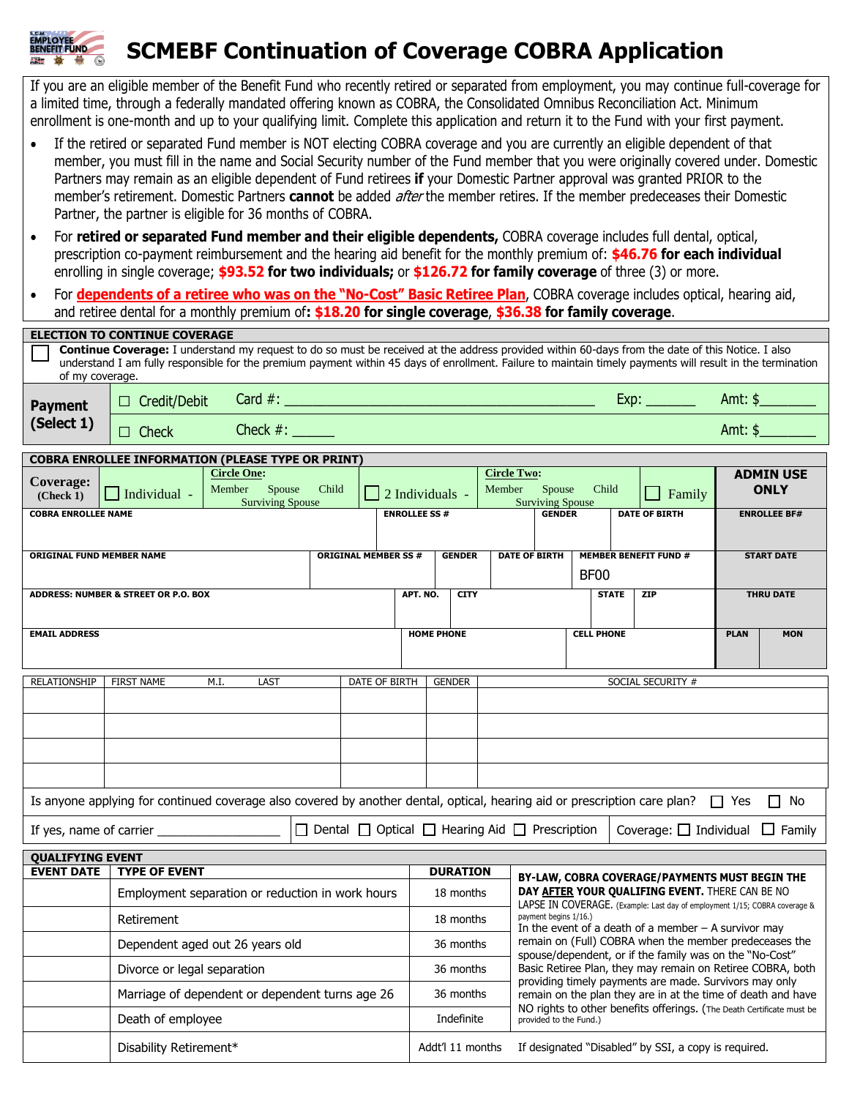## **SCMEBF Continuation of Coverage COBRA Application**

**MPLOYEE**<br>ENEFIT FUND

If you are an eligible member of the Benefit Fund who recently retired or separated from employment, you may continue full-coverage for a limited time, through a federally mandated offering known as COBRA, the Consolidated Omnibus Reconciliation Act. Minimum enrollment is one-month and up to your qualifying limit. Complete this application and return it to the Fund with your first payment.

- If the retired or separated Fund member is NOT electing COBRA coverage and you are currently an eligible dependent of that member, you must fill in the name and Social Security number of the Fund member that you were originally covered under. Domestic Partners may remain as an eligible dependent of Fund retirees **if** your Domestic Partner approval was granted PRIOR to the member's retirement. Domestic Partners **cannot** be added after the member retires. If the member predeceases their Domestic Partner, the partner is eligible for 36 months of COBRA.
- For **retired or separated Fund member and their eligible dependents,** COBRA coverage includes full dental, optical, prescription co-payment reimbursement and the hearing aid benefit for the monthly premium of: **\$46.76 for each individual** enrolling in single coverage; **\$93.52 for two individuals;** or **\$126.72 for family coverage** of three (3) or more.
- For **dependents of a retiree who was on the "No-Cost" Basic Retiree Plan**, COBRA coverage includes optical, hearing aid, and retiree dental for a monthly premium of**: \$18.20 for single coverage**, **\$36.38 for family coverage**.

|                                                                                                                                                                                                                                                                                                                                   | ice activation a monemy premiam on <b>exclusive to only a coverage, exclusi</b> for naminy coverage. |                                            |                                                                   |                                                                                             |                     |                                                                                                                                           |                        |                      |                                 |  |                              |             |                     |  |
|-----------------------------------------------------------------------------------------------------------------------------------------------------------------------------------------------------------------------------------------------------------------------------------------------------------------------------------|------------------------------------------------------------------------------------------------------|--------------------------------------------|-------------------------------------------------------------------|---------------------------------------------------------------------------------------------|---------------------|-------------------------------------------------------------------------------------------------------------------------------------------|------------------------|----------------------|---------------------------------|--|------------------------------|-------------|---------------------|--|
| <b>ELECTION TO CONTINUE COVERAGE</b>                                                                                                                                                                                                                                                                                              |                                                                                                      |                                            |                                                                   |                                                                                             |                     |                                                                                                                                           |                        |                      |                                 |  |                              |             |                     |  |
| Continue Coverage: I understand my request to do so must be received at the address provided within 60-days from the date of this Notice. I also<br>understand I am fully responsible for the premium payment within 45 days of enrollment. Failure to maintain timely payments will result in the termination<br>of my coverage. |                                                                                                      |                                            |                                                                   |                                                                                             |                     |                                                                                                                                           |                        |                      |                                 |  |                              |             |                     |  |
| <b>Payment</b>                                                                                                                                                                                                                                                                                                                    | $\Box$ Credit/Debit                                                                                  |                                            |                                                                   |                                                                                             |                     |                                                                                                                                           |                        |                      |                                 |  |                              |             | Amt: $\frac{1}{2}$  |  |
| (Select 1)                                                                                                                                                                                                                                                                                                                        | <b>Check</b><br>$\Box$                                                                               | Check $#:$                                 |                                                                   |                                                                                             |                     |                                                                                                                                           |                        |                      |                                 |  |                              | Amt: $$$    |                     |  |
|                                                                                                                                                                                                                                                                                                                                   | <b>COBRA ENROLLEE INFORMATION (PLEASE TYPE OR PRINT)</b>                                             |                                            |                                                                   |                                                                                             |                     |                                                                                                                                           |                        |                      |                                 |  |                              |             |                     |  |
| Coverage:<br>(Check 1)                                                                                                                                                                                                                                                                                                            | $\Box$ Individual -                                                                                  | Spouse<br>Child<br><b>Surviving Spouse</b> |                                                                   | <b>Circle Two:</b><br>Member<br>Spouse<br>$\Box$ 2 Individuals -<br><b>Surviving Spouse</b> |                     |                                                                                                                                           | Child<br>$\Box$ Family |                      | <b>ADMIN USE</b><br><b>ONLY</b> |  |                              |             |                     |  |
| <b>COBRA ENROLLEE NAME</b>                                                                                                                                                                                                                                                                                                        |                                                                                                      |                                            |                                                                   |                                                                                             | <b>ENROLLEE SS#</b> |                                                                                                                                           |                        | <b>GENDER</b>        |                                 |  | <b>DATE OF BIRTH</b>         |             | <b>ENROLLEE BF#</b> |  |
| <b>ORIGINAL FUND MEMBER NAME</b>                                                                                                                                                                                                                                                                                                  |                                                                                                      |                                            |                                                                   | <b>ORIGINAL MEMBER SS #</b>                                                                 |                     | <b>GENDER</b>                                                                                                                             |                        | <b>DATE OF BIRTH</b> |                                 |  | <b>MEMBER BENEFIT FUND #</b> |             | <b>START DATE</b>   |  |
|                                                                                                                                                                                                                                                                                                                                   |                                                                                                      |                                            |                                                                   |                                                                                             |                     |                                                                                                                                           |                        |                      | <b>BF00</b>                     |  |                              |             |                     |  |
|                                                                                                                                                                                                                                                                                                                                   | <b>ADDRESS: NUMBER &amp; STREET OR P.O. BOX</b>                                                      |                                            |                                                                   |                                                                                             | APT. NO.            | <b>CITY</b>                                                                                                                               |                        |                      | <b>STATE</b>                    |  | <b>ZIP</b>                   |             | <b>THRU DATE</b>    |  |
| <b>EMAIL ADDRESS</b>                                                                                                                                                                                                                                                                                                              |                                                                                                      |                                            |                                                                   |                                                                                             | <b>HOME PHONE</b>   |                                                                                                                                           |                        |                      | <b>CELL PHONE</b>               |  |                              | <b>PLAN</b> | <b>MON</b>          |  |
| <b>RELATIONSHIP</b>                                                                                                                                                                                                                                                                                                               | <b>FIRST NAME</b>                                                                                    |                                            | DATE OF BIRTH                                                     | <b>GENDER</b>                                                                               |                     |                                                                                                                                           | SOCIAL SECURITY #      |                      |                                 |  |                              |             |                     |  |
|                                                                                                                                                                                                                                                                                                                                   |                                                                                                      |                                            |                                                                   |                                                                                             |                     |                                                                                                                                           |                        |                      |                                 |  |                              |             |                     |  |
|                                                                                                                                                                                                                                                                                                                                   |                                                                                                      |                                            |                                                                   |                                                                                             |                     |                                                                                                                                           |                        |                      |                                 |  |                              |             |                     |  |
|                                                                                                                                                                                                                                                                                                                                   |                                                                                                      |                                            |                                                                   |                                                                                             |                     |                                                                                                                                           |                        |                      |                                 |  |                              |             |                     |  |
|                                                                                                                                                                                                                                                                                                                                   |                                                                                                      |                                            |                                                                   |                                                                                             |                     |                                                                                                                                           |                        |                      |                                 |  |                              |             |                     |  |
| Is anyone applying for continued coverage also covered by another dental, optical, hearing aid or prescription care plan? $\Box$ Yes<br>$\Box$ No                                                                                                                                                                                 |                                                                                                      |                                            |                                                                   |                                                                                             |                     |                                                                                                                                           |                        |                      |                                 |  |                              |             |                     |  |
| $\Box$ Dental $\Box$ Optical $\Box$ Hearing Aid $\Box$ Prescription<br>Coverage: $\Box$ Individual $\Box$ Family                                                                                                                                                                                                                  |                                                                                                      |                                            |                                                                   |                                                                                             |                     |                                                                                                                                           |                        |                      |                                 |  |                              |             |                     |  |
| <b>QUALIFYING EVENT</b>                                                                                                                                                                                                                                                                                                           |                                                                                                      |                                            |                                                                   |                                                                                             |                     |                                                                                                                                           |                        |                      |                                 |  |                              |             |                     |  |
| <b>EVENT DATE</b>                                                                                                                                                                                                                                                                                                                 | <b>TYPE OF EVENT</b>                                                                                 |                                            | <b>DURATION</b><br>BY-LAW, COBRA COVERAGE/PAYMENTS MUST BEGIN THE |                                                                                             |                     |                                                                                                                                           |                        |                      |                                 |  |                              |             |                     |  |
|                                                                                                                                                                                                                                                                                                                                   | Employment separation or reduction in work hours                                                     |                                            |                                                                   |                                                                                             |                     | DAY AFTER YOUR QUALIFING EVENT. THERE CAN BE NO<br>18 months<br>LADSE IN COVERAGE (Example: Last day of employment 1/15; CORR coverage 8. |                        |                      |                                 |  |                              |             |                     |  |

| Employment separation or reduction in work hours | 18 months        | DAY AFTER YOUR QUALIFING EVENT. THERE CAN BE NO<br>LAPSE IN COVERAGE. (Example: Last day of employment 1/15; COBRA coverage &<br>payment begins 1/16.)<br>In the event of a death of a member $-$ A survivor may<br>remain on (Full) COBRA when the member predeceases the<br>spouse/dependent, or if the family was on the "No-Cost"<br>Basic Retiree Plan, they may remain on Retiree COBRA, both<br>providing timely payments are made. Survivors may only<br>remain on the plan they are in at the time of death and have<br>NO rights to other benefits offerings. (The Death Certificate must be<br>provided to the Fund.) |  |  |  |  |
|--------------------------------------------------|------------------|----------------------------------------------------------------------------------------------------------------------------------------------------------------------------------------------------------------------------------------------------------------------------------------------------------------------------------------------------------------------------------------------------------------------------------------------------------------------------------------------------------------------------------------------------------------------------------------------------------------------------------|--|--|--|--|
| Retirement                                       | 18 months        |                                                                                                                                                                                                                                                                                                                                                                                                                                                                                                                                                                                                                                  |  |  |  |  |
| Dependent aged out 26 years old                  | 36 months        |                                                                                                                                                                                                                                                                                                                                                                                                                                                                                                                                                                                                                                  |  |  |  |  |
| Divorce or legal separation                      | 36 months        |                                                                                                                                                                                                                                                                                                                                                                                                                                                                                                                                                                                                                                  |  |  |  |  |
| Marriage of dependent or dependent turns age 26  | 36 months        |                                                                                                                                                                                                                                                                                                                                                                                                                                                                                                                                                                                                                                  |  |  |  |  |
| Death of employee                                | Indefinite       |                                                                                                                                                                                                                                                                                                                                                                                                                                                                                                                                                                                                                                  |  |  |  |  |
| Disability Retirement*                           | Addt'l 11 months | If designated "Disabled" by SSI, a copy is required.                                                                                                                                                                                                                                                                                                                                                                                                                                                                                                                                                                             |  |  |  |  |